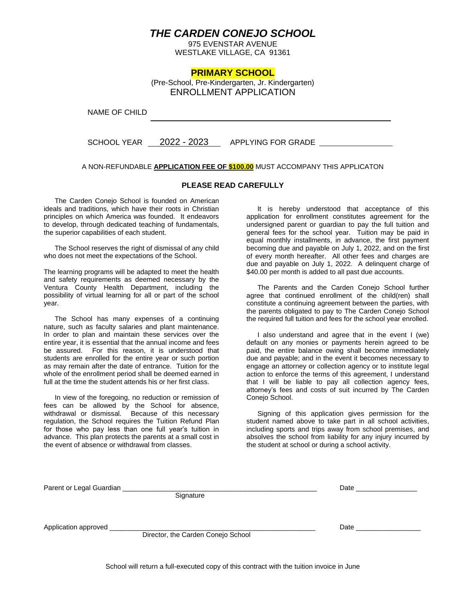## *THE CARDEN CONEJO SCHOOL*

975 EVENSTAR AVENUE WESTLAKE VILLAGE, CA 91361

### **PRIMARY SCHOOL**

(Pre-School, Pre-Kindergarten, Jr. Kindergarten) ENROLLMENT APPLICATION

NAME OF CHILD

SCHOOL YEAR 2022 - 2023 APPLYING FOR GRADE

#### A NON-REFUNDABLE **APPLICATION FEE OF \$100.00** MUST ACCOMPANY THIS APPLICATON

#### **PLEASE READ CAREFULLY**

The Carden Conejo School is founded on American ideals and traditions, which have their roots in Christian principles on which America was founded. It endeavors to develop, through dedicated teaching of fundamentals, the superior capabilities of each student.

 The School reserves the right of dismissal of any child who does not meet the expectations of the School.

The learning programs will be adapted to meet the health and safety requirements as deemed necessary by the Ventura County Health Department, including the possibility of virtual learning for all or part of the school year.

The School has many expenses of a continuing nature, such as faculty salaries and plant maintenance. In order to plan and maintain these services over the entire year, it is essential that the annual income and fees be assured. For this reason, it is understood that students are enrolled for the entire year or such portion as may remain after the date of entrance. Tuition for the whole of the enrollment period shall be deemed earned in full at the time the student attends his or her first class.

In view of the foregoing, no reduction or remission of fees can be allowed by the School for absence, withdrawal or dismissal. Because of this necessary regulation, the School requires the Tuition Refund Plan for those who pay less than one full year's tuition in advance. This plan protects the parents at a small cost in the event of absence or withdrawal from classes.

It is hereby understood that acceptance of this application for enrollment constitutes agreement for the undersigned parent or guardian to pay the full tuition and general fees for the school year. Tuition may be paid in equal monthly installments, in advance, the first payment becoming due and payable on July 1, 2022, and on the first of every month hereafter. All other fees and charges are due and payable on July 1, 2022. A delinquent charge of \$40.00 per month is added to all past due accounts.

The Parents and the Carden Conejo School further agree that continued enrollment of the child(ren) shall constitute a continuing agreement between the parties, with the parents obligated to pay to The Carden Conejo School the required full tuition and fees for the school year enrolled.

I also understand and agree that in the event I (we) default on any monies or payments herein agreed to be paid, the entire balance owing shall become immediately due and payable; and in the event it becomes necessary to engage an attorney or collection agency or to institute legal action to enforce the terms of this agreement, I understand that I will be liable to pay all collection agency fees, attorney's fees and costs of suit incurred by The Carden Conejo School.

Signing of this application gives permission for the student named above to take part in all school activities, including sports and trips away from school premises, and absolves the school from liability for any injury incurred by the student at school or during a school activity.

| Parent or Legal Guardian |                                    | Date |
|--------------------------|------------------------------------|------|
|                          | Signature                          |      |
|                          |                                    |      |
| Application approved     |                                    | Date |
|                          | Director, the Carden Conejo School |      |
|                          |                                    |      |
|                          |                                    |      |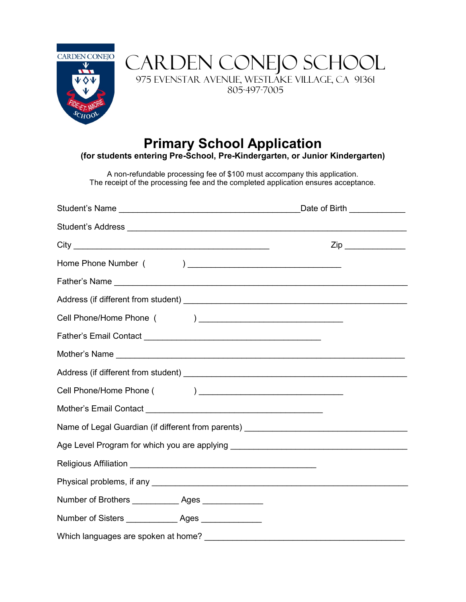

CARDEN CONEJO SCHOOL 975 EVENSTAR AVENUE, WESTLAKE VILLAGE, CA 91361 805-497-7005

# **Primary School Application**

**(for students entering Pre-School, Pre-Kindergarten, or Junior Kindergarten)**

A non-refundable processing fee of \$100 must accompany this application. The receipt of the processing fee and the completed application ensures acceptance.

|                                                                                                                                                                   | Date of Birth _____________ |  |  |
|-------------------------------------------------------------------------------------------------------------------------------------------------------------------|-----------------------------|--|--|
|                                                                                                                                                                   |                             |  |  |
|                                                                                                                                                                   | $\mathsf{Zip} \_\_$         |  |  |
|                                                                                                                                                                   |                             |  |  |
|                                                                                                                                                                   |                             |  |  |
|                                                                                                                                                                   |                             |  |  |
|                                                                                                                                                                   |                             |  |  |
|                                                                                                                                                                   |                             |  |  |
|                                                                                                                                                                   |                             |  |  |
| Address (if different from student)<br><u> and the manufacture of the manufacture of the manufacture</u> of the manufacture of the manufacture of the manufacture |                             |  |  |
|                                                                                                                                                                   |                             |  |  |
|                                                                                                                                                                   |                             |  |  |
| Name of Legal Guardian (if different from parents) _____________________________                                                                                  |                             |  |  |
| Age Level Program for which you are applying ___________________________________                                                                                  |                             |  |  |
|                                                                                                                                                                   |                             |  |  |
|                                                                                                                                                                   |                             |  |  |
| Number of Brothers ______________ Ages ______________                                                                                                             |                             |  |  |
| Number of Sisters ________________ Ages _______________                                                                                                           |                             |  |  |
| Which languages are spoken at home?                                                                                                                               |                             |  |  |